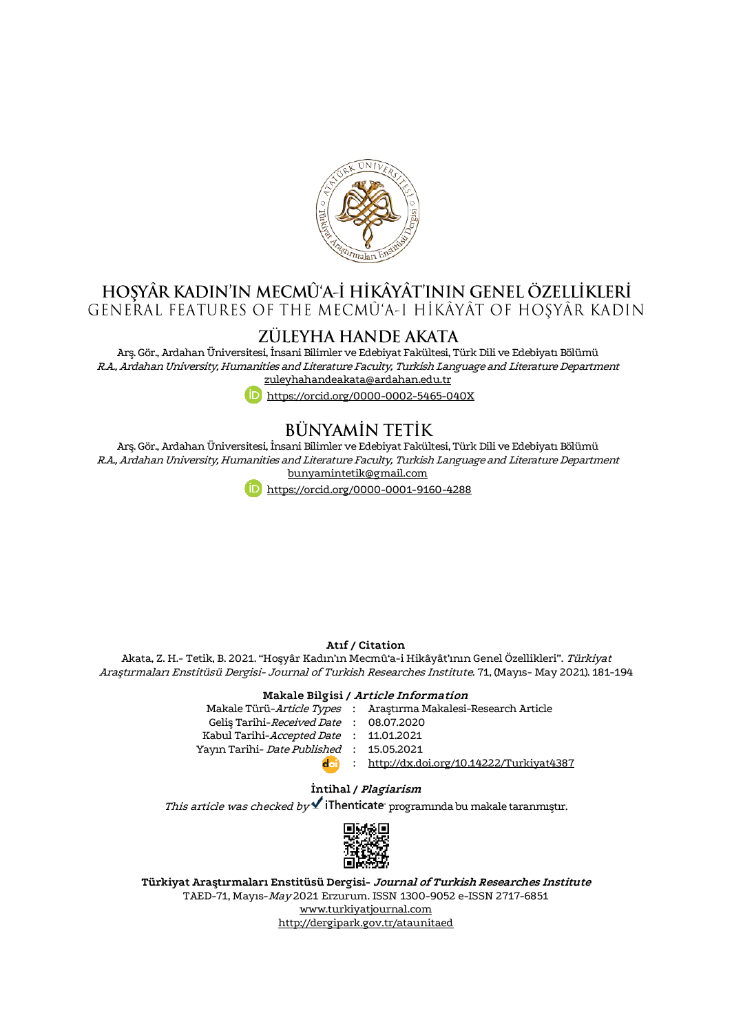

# H<mark>oşyâr kadin'in mecmû'a-İ hikâyât'inin genel özellikleri</mark><br>General features of the mecmû'a-i hikâyât of hoşyâr kadin

# ZÜLEYHA HANDE AKATA

Arş. Gör., Ardahan Üniversitesi, İnsani Bilimler ve Edebiyat Fakültesi, Türk Dili ve Edebiyatı Bölümü R.A., Ardahan University, Humanities and Literature Faculty, Turkish Language and Literature Department [zuleyhahandeakata@ardahan.edu.tr](mailto:zuleyhahandeakata@ardahan.edu.tr)

<https://orcid.org/0000-0002-5465-040X>

# **BÜNYAMİN TETİK**

Arş. Gör., Ardahan Üniversitesi, İnsani Bilimler ve Edebiyat Fakültesi, Türk Dili ve Edebiyatı Bölümü R.A., ArdahanUniversity, Humanities and Literature Faculty, Turkish Language and Literature Department [bunyamintetik@gmail.com](mailto:bunyamintetik@gmail.com)



#### **Atıf / Citation**

Akata, Z. H.- Tetik, B. 2021. "Hoşyâr Kadın'ın Mecmû'a-i Hikâyât'ının Genel Özellikleri". Türkiyat Araştırmaları Enstitüsü Dergisi- Journal of Turkish Researches Institute. 71, (Mayıs- May 2021). 181-194

#### **Makale Bilgisi / Article Information**

Makale Türü-*Article Types* : Araştırma Makalesi-Research Article Geliş Tarihi-*Received Date* : 08.07.2020 Kabul Tarihi-*Accepted Date* : 11.01.2021 Yayın Tarihi- *Date Published* : 15.05.2021 : <http://dx.doi.org/10.14222/Turkiyat4387> **d**oil

# **İntihal / Plagiarism**

This article was checked by  $\checkmark$  iThenticate programında bu makale taranmıştır.



**Türkiyat Araştırmaları Enstitüsü Dergisi- Journal of Turkish Researches Institute** TAED-71, Mayıs-May 2021 Erzurum. ISSN 1300-9052 e-ISSN 2717-6851 [www.turkiyatjournal.com](http://www.turkiyatjournal.com/) <http://dergipark.gov.tr/ataunitaed>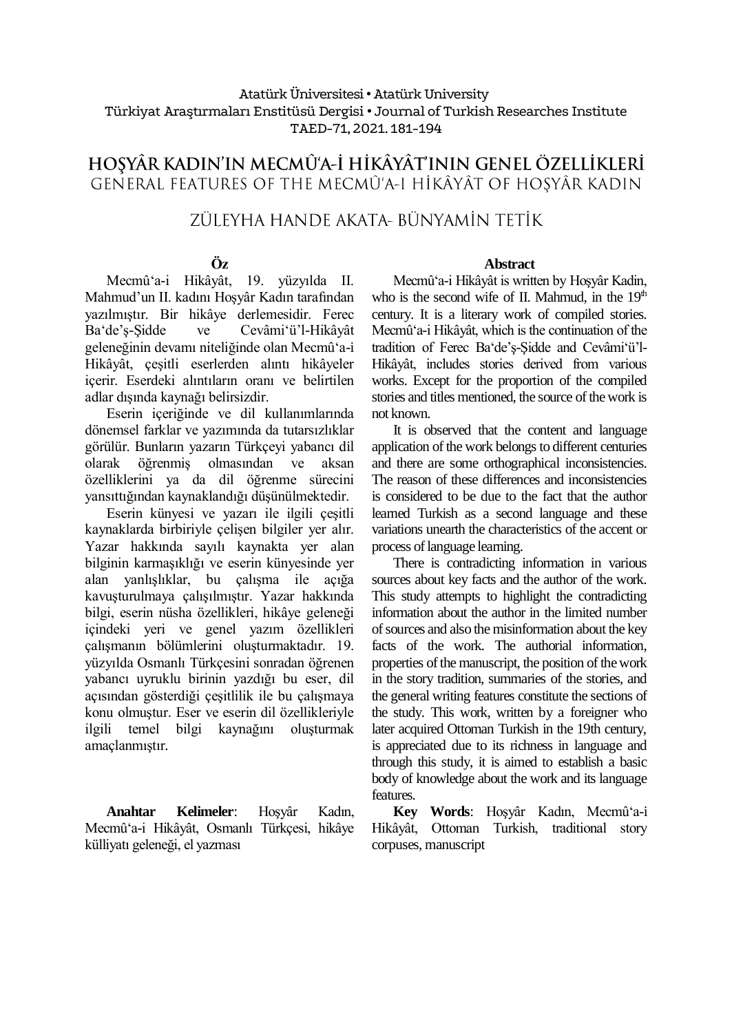# Atatürk Üniversitesi• Atatürk University Türkiyat Araştırmaları Enstitüsü Dergisi • Journal of Turkish Researches Institute TAED-71, 2021. 181-194

# HOŞYÂR KADIN'IN MECMÛ'A-İ HİKÂYÂT'ININ GENEL ÖZELLİKLERİ GENERAL FEATURES OF THE MECMÛ'A-I HÎKÂYÂT OF HOSYÂR KADIN

# ZÜLEYHA HANDE AKATA- BÜNYAMİN TETİK

# **Öz**

Mecmû'a-i Hikâyât, 19. yüzyılda II. Mahmud'un II. kadını Hoşyâr Kadın tarafından yazılmıştır. Bir hikâye derlemesidir. Ferec Ba'de'ş-Şidde ve Cevâmi'ü'l-Hikâyât geleneğinin devamı niteliğinde olan Mecmû'a-i Hikâyât, çeşitli eserlerden alıntı hikâyeler icerir. Eserdeki alıntıların oranı ve belirtilen adlar dışında kaynağı belirsizdir.

Eserin içeriğinde ve dil kullanımlarında dönemsel farklar ve yazımında da tutarsızlıklar görülür. Bunların yazarın Türkçeyi yabancı dil olarak öğrenmiş olmasından ve aksan özelliklerini ya da dil öğrenme sürecini yansıttığından kaynaklandığı düşünülmektedir.

Eserin künyesi ve yazarı ile ilgili çeşitli kaynaklarda birbiriyle çelişen bilgiler yer alır. Yazar hakkında sayılı kaynakta yer alan bilginin karmaşıklığı ve eserin künyesinde yer alan yanlışlıklar, bu çalışma ile açığa kavuşturulmaya çalışılmıştır. Yazar hakkında bilgi, eserin nüsha özellikleri, hikâye geleneği içindeki yeri ve genel yazım özellikleri çalışmanın bölümlerini oluşturmaktadır. 19. yüzyılda Osmanlı Türkçesini sonradan öğrenen yabancı uyruklu birinin yazdığı bu eser, dil açısından gösterdiği çeşitlilik ile bu çalışmaya konu olmuştur. Eser ve eserin dil özellikleriyle ilgili temel bilgi kaynağını oluşturmak amaçlanmıştır.

**Anahtar Kelimeler**: Hoşyâr Kadın, Mecmû'a-i Hikâyât, Osmanlı Türkçesi, hikâye külliyatı geleneği, el yazması

## **Abstract**

Mecmû'a-i Hikâyât is written by Hoşyâr Kadin, who is the second wife of II. Mahmud, in the  $19<sup>th</sup>$ century. It is a literary work of compiled stories. Mecmû'a-i Hikâyât, which is the continuation of the tradition of Ferec Ba'de'ş-Şidde and Cevâmi'ü'l-Hikâyât, includes stories derived from various works. Except for the proportion of the compiled stories and titles mentioned, the source of the work is not known.

It is observed that the content and language application of the work belongs to different centuries and there are some orthographical inconsistencies. The reason of these differences and inconsistencies is considered to be due to the fact that the author learned Turkish as a second language and these variations unearth the characteristics of the accent or process of language learning.

There is contradicting information in various sources about key facts and the author of the work. This study attempts to highlight the contradicting information about the author in the limited number of sources and also the misinformation about the key facts of the work. The authorial information, properties of the manuscript, the position of the work in the story tradition, summaries of the stories, and the general writing features constitute the sections of the study. This work, written by a foreigner who later acquired Ottoman Turkish in the 19th century, is appreciated due to its richness in language and through this study, it is aimed to establish a basic body of knowledge about the work and its language features.

**Key Words**: Hoşyâr Kadın, Mecmû'a-i Hikâyât, Ottoman Turkish, traditional story corpuses, manuscript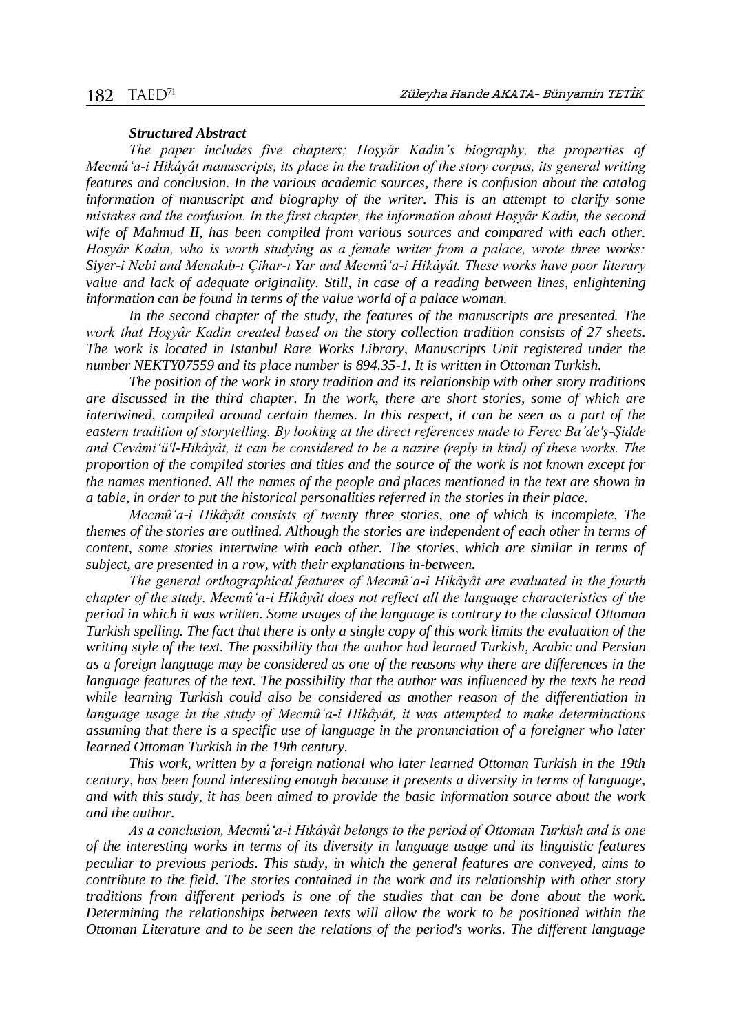#### *Structured Abstract*

*The paper includes five chapters; Hoşyâr Kadin's biography, the properties of Mecmû'a-i Hikâyât manuscripts, its place in the tradition of the story corpus, its general writing features and conclusion. In the various academic sources, there is confusion about the catalog information of manuscript and biography of the writer. This is an attempt to clarify some mistakes and the confusion. In the first chapter, the information about Hoşyâr Kadin, the second wife of Mahmud II, has been compiled from various sources and compared with each other. Hosyâr Kadın, who is worth studying as a female writer from a palace, wrote three works: Siyer-i Nebi and Menakıb-ı Çihar-ı Yar and Mecmû'a-i Hikâyât. These works have poor literary value and lack of adequate originality. Still, in case of a reading between lines, enlightening information can be found in terms of the value world of a palace woman.*

In the second chapter of the study, the features of the manuscripts are presented. The *work that Hoşyâr Kadin created based on the story collection tradition consists of 27 sheets. The work is located in Istanbul Rare Works Library, Manuscripts Unit registered under the number NEKTY07559 and its place number is 894.35-1. It is written in Ottoman Turkish.*

*The position of the work in story tradition and its relationship with other story traditions are discussed in the third chapter. In the work, there are short stories, some of which are intertwined, compiled around certain themes. In this respect, it can be seen as a part of the eastern tradition of storytelling. By looking at the direct references made to Ferec Ba'de'ş-Şidde and Cevâmi'ü'l-Hikâyât, it can be considered to be a nazire (reply in kind) of these works. The proportion of the compiled stories and titles and the source of the work is not known except for the names mentioned. All the names of the people and places mentioned in the text are shown in a table, in order to put the historical personalities referred in the stories in their place.*

*Mecmû'a-i Hikâyât consists of twenty three stories, one of which is incomplete. The themes of the stories are outlined. Although the stories are independent of each other in terms of content, some stories intertwine with each other. The stories, which are similar in terms of subject, are presented in a row, with their explanations in-between.*

*The general orthographical features of Mecmû'a-i Hikâyât are evaluated in the fourth chapter of the study. Mecmû'a-i Hikâyât does not reflect all the language characteristics of the period in which it was written. Some usages of the language is contrary to the classical Ottoman Turkish spelling. The fact that there is only a single copy of this work limits the evaluation of the writing style of the text. The possibility that the author had learned Turkish, Arabic and Persian as a foreign language may be considered as one of the reasons why there are differences in the language features of the text. The possibility that the author was influenced by the texts he read while learning Turkish could also be considered as another reason of the differentiation in language usage in the study of Mecmû'a-i Hikâyât, it was attempted to make determinations assuming that there is a specific use of language in the pronunciation of a foreigner who later learned Ottoman Turkish in the 19th century.*

*This work, written by a foreign national who later learned Ottoman Turkish in the 19th century, has been found interesting enough because it presents a diversity in terms of language, and with this study, it has been aimed to provide the basic information source about the work and the author.*

*As a conclusion, Mecmû'a-i Hikâyât belongs to the period of Ottoman Turkish and is one of the interesting works in terms of its diversity in language usage and its linguistic features peculiar to previous periods. This study, in which the general features are conveyed, aims to contribute to the field. The stories contained in the work and its relationship with other story traditions from different periods is one of the studies that can be done about the work. Determining the relationships between texts will allow the work to be positioned within the Ottoman Literature and to be seen the relations of the period's works. The different language*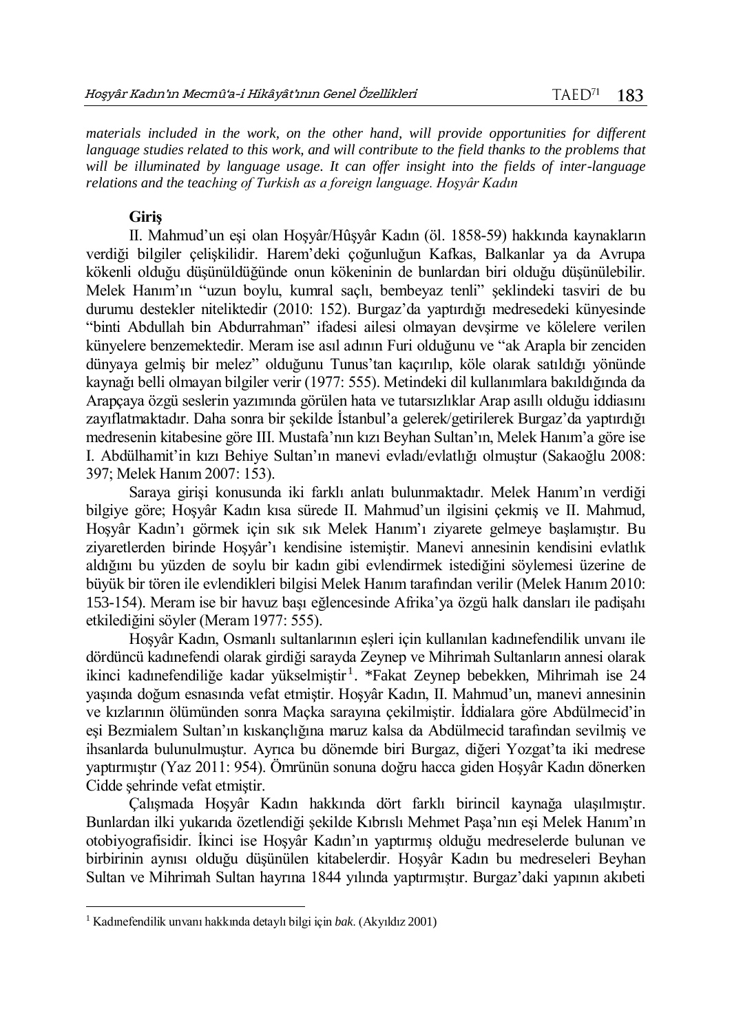*materials included in the work, on the other hand, will provide opportunities for different language studies related to this work, and will contribute to the field thanks to the problems that will be illuminated by language usage. It can offer insight into the fields of inter-language relations and the teaching of Turkish as a foreign language. Hoşyâr Kadın*

# **Giriş**

II. Mahmud'un eşi olan Hoşyâr/Hûşyâr Kadın (öl. 1858-59) hakkında kaynakların verdiği bilgiler çelişkilidir. Harem'deki çoğunluğun Kafkas, Balkanlar ya da Avrupa kökenli olduğu düşünüldüğünde onun kökeninin de bunlardan biri olduğu düşünülebilir. Melek Hanım'ın "uzun boylu, kumral saçlı, bembeyaz tenli" şeklindeki tasviri de bu durumu destekler niteliktedir (2010: 152). Burgaz'da yaptırdığı medresedeki künyesinde "binti Abdullah bin Abdurrahman" ifadesi ailesi olmayan devşirme ve kölelere verilen künyelere benzemektedir. Meram ise asıl adının Furi olduğunu ve "ak Arapla bir zenciden dünyaya gelmiş bir melez" olduğunu Tunus'tan kaçırılıp, köle olarak satıldığı yönünde kaynağı belli olmayan bilgiler verir (1977: 555). Metindeki dil kullanımlara bakıldığında da Arapçaya özgü seslerin yazımında görülen hata ve tutarsızlıklar Arap asıllı olduğu iddiasını zayıflatmaktadır. Daha sonra bir şekilde İstanbul'a gelerek/getirilerek Burgaz'da yaptırdığı medresenin kitabesine göre III. Mustafa'nın kızı Beyhan Sultan'ın, Melek Hanım'a göre ise I. Abdülhamit'in kızı Behiye Sultan'ın manevi evladı/evlatlığı olmuştur (Sakaoğlu 2008: 397; Melek Hanım 2007: 153).

Saraya girişi konusunda iki farklı anlatı bulunmaktadır. Melek Hanım'ın verdiği bilgiye göre; Hoşyâr Kadın kısa sürede II. Mahmud'un ilgisini çekmiş ve II. Mahmud, Hoşyâr Kadın'ı görmek için sık sık Melek Hanım'ı ziyarete gelmeye başlamıştır. Bu ziyaretlerden birinde Hoşyâr'ı kendisine istemiştir. Manevi annesinin kendisini evlatlık aldığını bu yüzden de soylu bir kadın gibi evlendirmek istediğini söylemesi üzerine de büyük bir tören ile evlendikleri bilgisi Melek Hanım tarafından verilir (Melek Hanım 2010: 153-154). Meram ise bir havuz başı eğlencesinde Afrika'ya özgü halk dansları ile padişahı etkilediğini söyler (Meram 1977: 555).

Hoşyâr Kadın, Osmanlı sultanlarının eşleri için kullanılan kadınefendilik unvanı ile dördüncü kadınefendi olarak girdiği sarayda Zeynep ve Mihrimah Sultanların annesi olarak ikinci kadınefendiliğe kadar yükselmiştir<sup>1</sup>. \*Fakat Zeynep bebekken, Mihrimah ise 24 yaşında doğum esnasında vefat etmiştir. Hoşyâr Kadın, II. Mahmud'un, manevi annesinin ve kızlarının ölümünden sonra Maçka sarayına çekilmiştir. İddialara göre Abdülmecid'in eşi Bezmialem Sultan'ın kıskançlığına maruz kalsa da Abdülmecid tarafından sevilmiş ve ihsanlarda bulunulmuştur. Ayrıca bu dönemde biri Burgaz, diğeri Yozgat'ta iki medrese yaptırmıştır (Yaz 2011: 954). Ömrünün sonuna doğru hacca giden Hoşyâr Kadın dönerken Cidde şehrinde vefat etmiştir.

Çalışmada Hoşyâr Kadın hakkında dört farklı birincil kaynağa ulaşılmıştır. Bunlardan ilki yukarıda özetlendiği şekilde Kıbrıslı Mehmet Paşa'nın eşi Melek Hanım'ın otobiyografisidir. İkinci ise Hoşyâr Kadın'ın yaptırmış olduğu medreselerde bulunan ve birbirinin aynısı olduğu düşünülen kitabelerdir. Hoşyâr Kadın bu medreseleri Beyhan Sultan ve Mihrimah Sultan hayrına 1844 yılında yaptırmıştır. Burgaz'daki yapının akıbeti

 $\overline{a}$ 

<sup>1</sup> Kadınefendilik unvanı hakkında detaylı bilgi için *bak*. (Akyıldız 2001)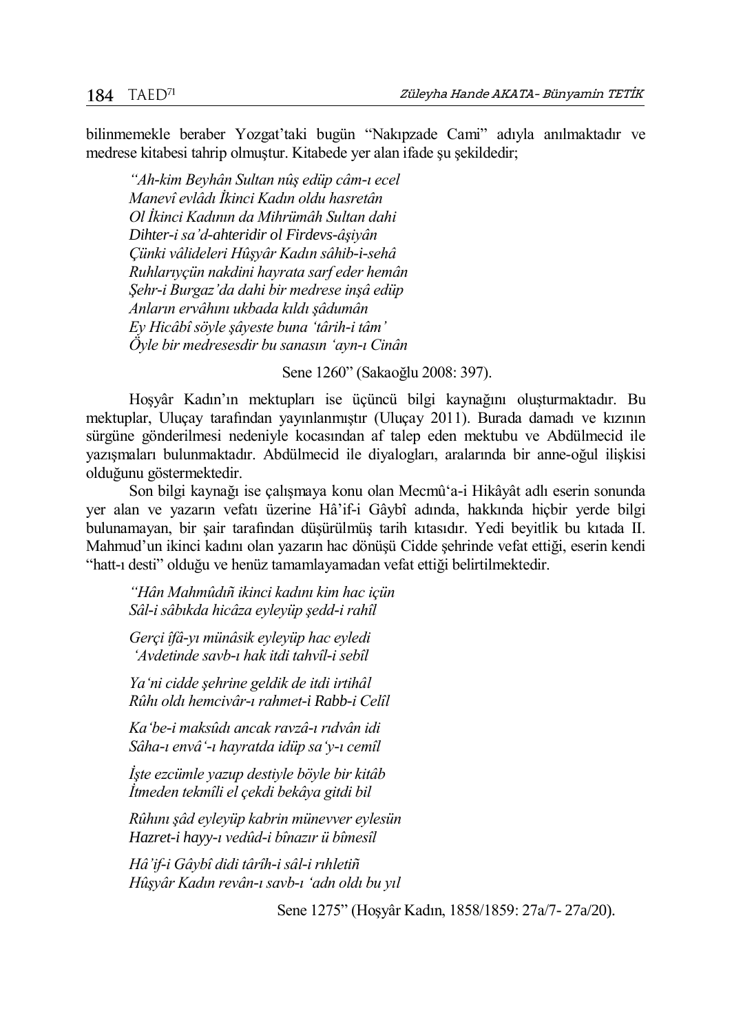bilinmemekle beraber Yozgat'taki bugün "Nakıpzade Cami" adıyla anılmaktadır ve medrese kitabesi tahrip olmuştur. Kitabede yer alan ifade şu şekildedir;

*"Ah-kim Beyhân Sultan nûş edüp câm-ı ecel Manevî evlâdı İkinci Kadın oldu hasretân Ol İkinci Kadının da Mihrümâh Sultan dahi Dihter-i sa'd-ahteridir ol Firdevs-âşiyân Çünki vâlideleri Hûşyâr Kadın sâhib-i-sehâ Ruhlarıyçün nakdini hayrata sarf eder hemân Şehr-i Burgaz'da dahi bir medrese inşâ edüp Anların ervâhını ukbada kıldı şâdumân Ey Hicâbî söyle şâyeste buna 'târih-i tâm' Öyle bir medresesdir bu sanasın 'ayn-ı Cinân*

Sene 1260" (Sakaoğlu 2008: 397).

Hoşyâr Kadın'ın mektupları ise üçüncü bilgi kaynağını oluşturmaktadır. Bu mektuplar, Uluçay tarafından yayınlanmıştır (Uluçay 2011). Burada damadı ve kızının sürgüne gönderilmesi nedeniyle kocasından af talep eden mektubu ve Abdülmecid ile yazışmaları bulunmaktadır. Abdülmecid ile diyalogları, aralarında bir anne-oğul ilişkisi olduğunu göstermektedir.

Son bilgi kaynağı ise çalışmaya konu olan Mecmû'a-i Hikâyât adlı eserin sonunda yer alan ve yazarın vefatı üzerine Hâ'if-i Gâybî adında, hakkında hiçbir yerde bilgi bulunamayan, bir şair tarafından düşürülmüş tarih kıtasıdır. Yedi beyitlik bu kıtada II. Mahmud'un ikinci kadını olan yazarın hac dönüşü Cidde şehrinde vefat ettiği, eserin kendi "hatt-ı desti" olduğu ve henüz tamamlayamadan vefat ettiği belirtilmektedir.

*"Hân Mahmûdıñ ikinci kadını kim hac içün Sâl-i sâbıkda hicâza eyleyüp şedd-i rahîl*

*Gerçi îfâ-yı münâsik eyleyüp hac eyledi 'Avdetinde savb-ı hak itdi tahvîl-i sebîl*

*Ya'ni cidde şehrine geldik de itdi irtihâl Rûhı oldı hemcivâr-ı rahmet-i Rabb-i Celîl*

*Ka'be-i maksûdı ancak ravzâ-ı rıdvân idi Sâha-ı envâ'-ı hayratda idüp sa'y-ı cemîl*

*İşte ezcümle yazup destiyle böyle bir kitâb İtmeden tekmîli el çekdi bekâya gitdi bil*

*Rûhını şâd eyleyüp kabrin münevver eylesün Hazret-i hayy-ı vedûd-i bînazır ü bîmesîl*

*Hâ'if-i Gâybî didi târîh-i sâl-i rıhletiñ Hûşyâr Kadın revân-ı savb-ı 'adn oldı bu yıl*

Sene 1275" (Hoşyâr Kadın, 1858/1859: 27a/7- 27a/20).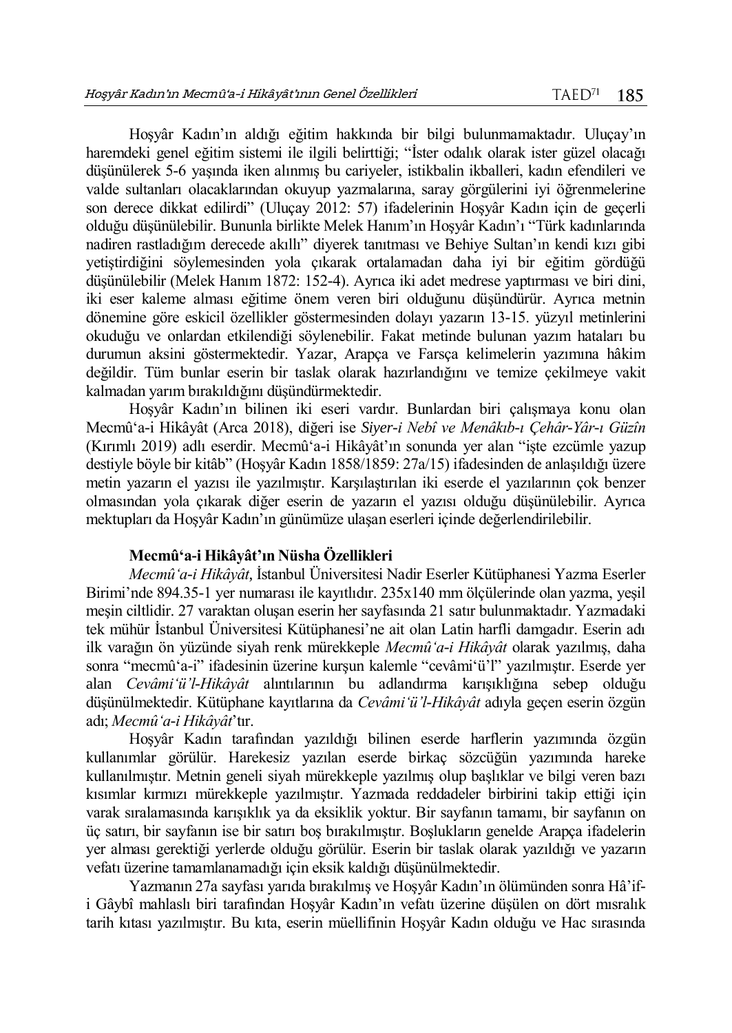Hoşyâr Kadın'ın aldığı eğitim hakkında bir bilgi bulunmamaktadır. Uluçay'ın haremdeki genel eğitim sistemi ile ilgili belirttiği; "İster odalık olarak ister güzel olacağı düşünülerek 5-6 yaşında iken alınmış bu cariyeler, istikbalin ikballeri, kadın efendileri ve valde sultanları olacaklarından okuyup yazmalarına, saray görgülerini iyi öğrenmelerine son derece dikkat edilirdi" (Uluçay 2012: 57) ifadelerinin Hoşyâr Kadın için de geçerli olduğu düşünülebilir. Bununla birlikte Melek Hanım'ın Hoşyâr Kadın'ı "Türk kadınlarında nadiren rastladığım derecede akıllı" diyerek tanıtması ve Behiye Sultan'ın kendi kızı gibi yetiştirdiğini söylemesinden yola çıkarak ortalamadan daha iyi bir eğitim gördüğü düşünülebilir (Melek Hanım 1872: 152-4). Ayrıca iki adet medrese yaptırması ve biri dini, iki eser kaleme alması eğitime önem veren biri olduğunu düşündürür. Ayrıca metnin dönemine göre eskicil özellikler göstermesinden dolayı yazarın 13-15. yüzyıl metinlerini okuduğu ve onlardan etkilendiği söylenebilir. Fakat metinde bulunan yazım hataları bu durumun aksini göstermektedir. Yazar, Arapça ve Farsça kelimelerin yazımına hâkim değildir. Tüm bunlar eserin bir taslak olarak hazırlandığını ve temize çekilmeye vakit kalmadan yarım bırakıldığını düşündürmektedir.

Hoşyâr Kadın'ın bilinen iki eseri vardır. Bunlardan biri çalışmaya konu olan Mecmû'a-i Hikâyât (Arca 2018), diğeri ise *Siyer-i Nebî ve Menâkıb-ı Çehâr-Yâr-ı Güzîn*  (Kırımlı 2019) adlı eserdir. Mecmû'a-i Hikâyât'ın sonunda yer alan "işte ezcümle yazup destiyle böyle bir kitâb" (Hoşyâr Kadın 1858/1859: 27a/15) ifadesinden de anlaşıldığı üzere metin yazarın el yazısı ile yazılmıştır. Karşılaştırılan iki eserde el yazılarının çok benzer olmasından yola çıkarak diğer eserin de yazarın el yazısı olduğu düşünülebilir. Ayrıca mektupları da Hoşyâr Kadın'ın günümüze ulaşan eserleri içinde değerlendirilebilir.

# **Mecmû'a-i Hikâyât'ın Nüsha Özellikleri**

*Mecmû'a-i Hikâyât*, İstanbul Üniversitesi Nadir Eserler Kütüphanesi Yazma Eserler Birimi'nde 894.35-1 yer numarası ile kayıtlıdır. 235x140 mm ölçülerinde olan yazma, yeşil meşin ciltlidir. 27 varaktan oluşan eserin her sayfasında 21 satır bulunmaktadır. Yazmadaki tek mühür İstanbul Üniversitesi Kütüphanesi'ne ait olan Latin harfli damgadır. Eserin adı ilk varağın ön yüzünde siyah renk mürekkeple *Mecmû'a-i Hikâyât* olarak yazılmış, daha sonra "mecmû'a-i" ifadesinin üzerine kurşun kalemle "cevâmi'ü'l" yazılmıştır. Eserde yer alan *Cevâmi'ü'l-Hikâyât* alıntılarının bu adlandırma karışıklığına sebep olduğu düşünülmektedir. Kütüphane kayıtlarına da *Cevâmi'ü'l-Hikâyât* adıyla geçen eserin özgün adı; *Mecmû'a-i Hikâyât*'tır.

Hoşyâr Kadın tarafından yazıldığı bilinen eserde harflerin yazımında özgün kullanımlar görülür. Harekesiz yazılan eserde birkaç sözcüğün yazımında hareke kullanılmıştır. Metnin geneli siyah mürekkeple yazılmış olup başlıklar ve bilgi veren bazı kısımlar kırmızı mürekkeple yazılmıştır. Yazmada reddadeler birbirini takip ettiği için varak sıralamasında karışıklık ya da eksiklik yoktur. Bir sayfanın tamamı, bir sayfanın on üç satırı, bir sayfanın ise bir satırı boş bırakılmıştır. Boşlukların genelde Arapça ifadelerin yer alması gerektiği yerlerde olduğu görülür. Eserin bir taslak olarak yazıldığı ve yazarın vefatı üzerine tamamlanamadığı için eksik kaldığı düşünülmektedir.

Yazmanın 27a sayfası yarıda bırakılmış ve Hoşyâr Kadın'ın ölümünden sonra Hâ'ifi Gâybî mahlaslı biri tarafından Hoşyâr Kadın'ın vefatı üzerine düşülen on dört mısralık tarih kıtası yazılmıştır. Bu kıta, eserin müellifinin Hoşyâr Kadın olduğu ve Hac sırasında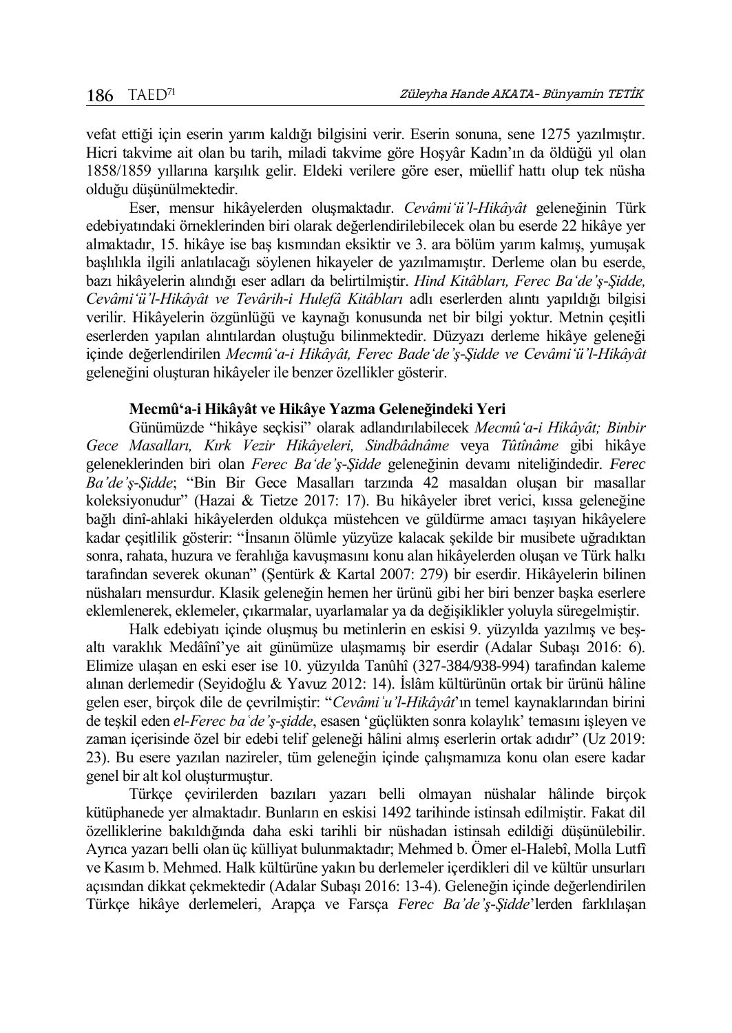vefat ettiği için eserin yarım kaldığı bilgisini verir. Eserin sonuna, sene 1275 yazılmıştır. Hicri takvime ait olan bu tarih, miladi takvime göre Hoşyâr Kadın'ın da öldüğü yıl olan 1858/1859 yıllarına karşılık gelir. Eldeki verilere göre eser, müellif hattı olup tek nüsha olduğu düşünülmektedir.

Eser, mensur hikâyelerden oluşmaktadır. *Cevâmi'ü'l-Hikâyât* geleneğinin Türk edebiyatındaki örneklerinden biri olarak değerlendirilebilecek olan bu eserde 22 hikâye yer almaktadır, 15. hikâye ise baş kısmından eksiktir ve 3. ara bölüm yarım kalmış, yumuşak başlılıkla ilgili anlatılacağı söylenen hikayeler de yazılmamıştır. Derleme olan bu eserde, bazı hikâyelerin alındığı eser adları da belirtilmiştir. *Hind Kitâbları, Ferec Ba'de'ş-Şidde, Cevâmi'ü'l-Hikâyât ve Tevârih-i Hulefâ Kitâbları* adlı eserlerden alıntı yapıldığı bilgisi verilir. Hikâyelerin özgünlüğü ve kaynağı konusunda net bir bilgi yoktur. Metnin çeşitli eserlerden yapılan alıntılardan oluştuğu bilinmektedir. Düzyazı derleme hikâye geleneği içinde değerlendirilen *Mecmû'a-i Hikâyât, Ferec Bade'de'ş-Şidde ve Cevâmi'ü'l-Hikâyât* geleneğini oluşturan hikâyeler ile benzer özellikler gösterir.

### **Mecmû'a-i Hikâyât ve Hikâye Yazma Geleneğindeki Yeri**

Günümüzde "hikâye seçkisi" olarak adlandırılabilecek *Mecmû'a-i Hikâyât; Binbir Gece Masalları, Kırk Vezir Hikâyeleri, Sindbâdnâme* veya *Tûtînâme* gibi hikâye geleneklerinden biri olan *Ferec Ba'de'ş-Şidde* geleneğinin devamı niteliğindedir. *Ferec Ba'de'ş-Şidde*; "Bin Bir Gece Masalları tarzında 42 masaldan oluşan bir masallar koleksiyonudur" (Hazai & Tietze 2017: 17). Bu hikâyeler ibret verici, kıssa geleneğine bağlı dinî-ahlaki hikâyelerden oldukça müstehcen ve güldürme amacı taşıyan hikâyelere kadar çeşitlilik gösterir: "İnsanın ölümle yüzyüze kalacak şekilde bir musibete uğradıktan sonra, rahata, huzura ve ferahlığa kavuşmasını konu alan hikâyelerden oluşan ve Türk halkı tarafından severek okunan" (Şentürk & Kartal 2007: 279) bir eserdir. Hikâyelerin bilinen nüshaları mensurdur. Klasik geleneğin hemen her ürünü gibi her biri benzer başka eserlere eklemlenerek, eklemeler, çıkarmalar, uyarlamalar ya da değişiklikler yoluyla süregelmiştir.

Halk edebiyatı içinde oluşmuş bu metinlerin en eskisi 9. yüzyılda yazılmış ve beşaltı varaklık Medâînî'ye ait günümüze ulaşmamış bir eserdir (Adalar Subaşı 2016: 6). Elimize ulaşan en eski eser ise 10. yüzyılda Tanûhî (327-384/938-994) tarafından kaleme alınan derlemedir (Seyidoğlu & Yavuz 2012: 14). İslâm kültürünün ortak bir ürünü hâline gelen eser, birçok dile de çevrilmiştir: "*Cevâmiʿu'l-Hikâyât*'ın temel kaynaklarından birini de teşkil eden *el-Ferec baʿde'ş-şidde*, esasen 'güçlükten sonra kolaylık' temasını işleyen ve zaman içerisinde özel bir edebi telif geleneği hâlini almış eserlerin ortak adıdır" (Uz 2019: 23). Bu esere yazılan nazireler, tüm geleneğin içinde çalışmamıza konu olan esere kadar genel bir alt kol oluşturmuştur.

Türkçe çevirilerden bazıları yazarı belli olmayan nüshalar hâlinde birçok kütüphanede yer almaktadır. Bunların en eskisi 1492 tarihinde istinsah edilmiştir. Fakat dil özelliklerine bakıldığında daha eski tarihli bir nüshadan istinsah edildiği düşünülebilir. Ayrıca yazarı belli olan üç külliyat bulunmaktadır; Mehmed b. Ömer el-Halebî, Molla Lutfî ve Kasım b. Mehmed. Halk kültürüne yakın bu derlemeler içerdikleri dil ve kültür unsurları açısından dikkat çekmektedir (Adalar Subaşı 2016: 13-4). Geleneğin içinde değerlendirilen Türkçe hikâye derlemeleri, Arapça ve Farsça *Ferec Ba'de'ş-Şidde*'lerden farklılaşan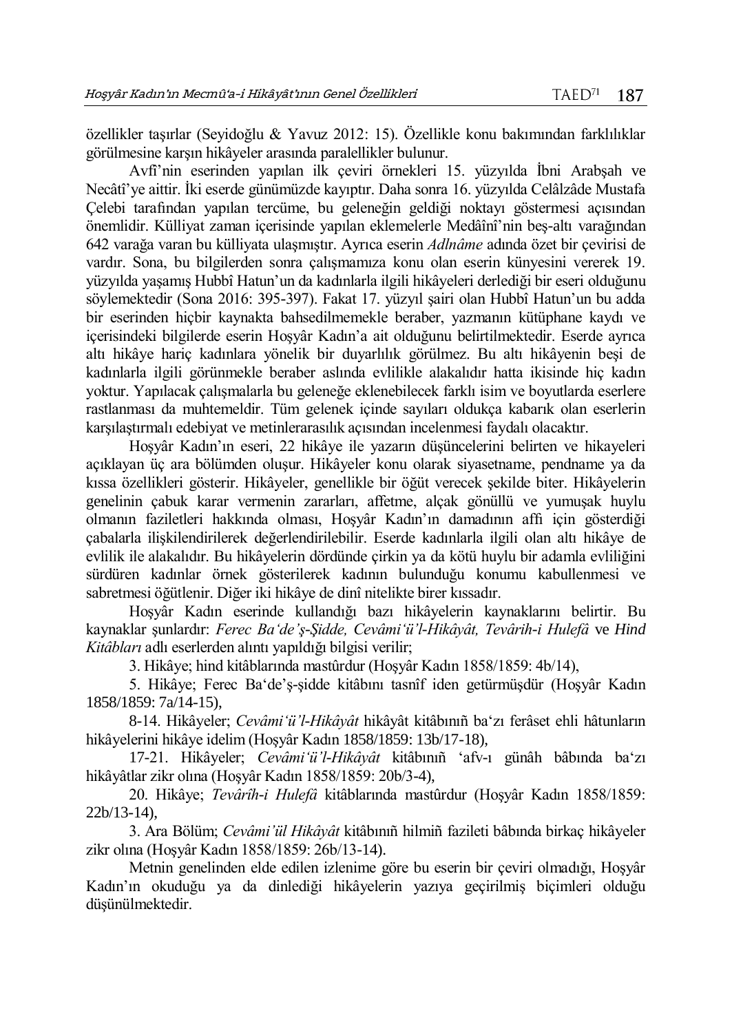özellikler taşırlar (Seyidoğlu & Yavuz 2012: 15). Özellikle konu bakımından farklılıklar görülmesine karşın hikâyeler arasında paralellikler bulunur.

Avfî'nin eserinden yapılan ilk çeviri örnekleri 15. yüzyılda İbni Arabşah ve Necâtî'ye aittir. İki eserde günümüzde kayıptır. Daha sonra 16. yüzyılda Celâlzâde Mustafa Çelebi tarafından yapılan tercüme, bu geleneğin geldiği noktayı göstermesi açısından önemlidir. Külliyat zaman içerisinde yapılan eklemelerle Medâînî'nin beş-altı varağından 642 varağa varan bu külliyata ulaşmıştır. Ayrıca eserin *Adlnâme* adında özet bir çevirisi de vardır. Sona, bu bilgilerden sonra çalışmamıza konu olan eserin künyesini vererek 19. yüzyılda yaşamış Hubbî Hatun'un da kadınlarla ilgili hikâyeleri derlediği bir eseri olduğunu söylemektedir (Sona 2016: 395-397). Fakat 17. yüzyıl şairi olan Hubbî Hatun'un bu adda bir eserinden hiçbir kaynakta bahsedilmemekle beraber, yazmanın kütüphane kaydı ve içerisindeki bilgilerde eserin Hoşyâr Kadın'a ait olduğunu belirtilmektedir. Eserde ayrıca altı hikâye hariç kadınlara yönelik bir duyarlılık görülmez. Bu altı hikâyenin beşi de kadınlarla ilgili görünmekle beraber aslında evlilikle alakalıdır hatta ikisinde hiç kadın yoktur. Yapılacak çalışmalarla bu geleneğe eklenebilecek farklı isim ve boyutlarda eserlere rastlanması da muhtemeldir. Tüm gelenek içinde sayıları oldukça kabarık olan eserlerin karşılaştırmalı edebiyat ve metinlerarasılık açısından incelenmesi faydalı olacaktır.

Hoşyâr Kadın'ın eseri, 22 hikâye ile yazarın düşüncelerini belirten ve hikayeleri açıklayan üç ara bölümden oluşur. Hikâyeler konu olarak siyasetname, pendname ya da kıssa özellikleri gösterir. Hikâyeler, genellikle bir öğüt verecek şekilde biter. Hikâyelerin genelinin çabuk karar vermenin zararları, affetme, alçak gönüllü ve yumuşak huylu olmanın faziletleri hakkında olması, Hoşyâr Kadın'ın damadının affı için gösterdiği çabalarla ilişkilendirilerek değerlendirilebilir. Eserde kadınlarla ilgili olan altı hikâye de evlilik ile alakalıdır. Bu hikâyelerin dördünde çirkin ya da kötü huylu bir adamla evliliğini sürdüren kadınlar örnek gösterilerek kadının bulunduğu konumu kabullenmesi ve sabretmesi öğütlenir. Diğer iki hikâye de dinî nitelikte birer kıssadır.

Hoşyâr Kadın eserinde kullandığı bazı hikâyelerin kaynaklarını belirtir. Bu kaynaklar şunlardır: *Ferec Ba'de'ş-Şidde, Cevâmi'ü'l-Hikâyât, Tevârih-i Hulefâ* ve *Hind Kitâbları* adlı eserlerden alıntı yapıldığı bilgisi verilir;

3. Hikâye; hind kitâblarında mastûrdur (Hoşyâr Kadın 1858/1859: 4b/14),

5. Hikâye; Ferec Ba'de'ş-şidde kitâbını tasnîf iden getürmüşdür (Hoşyâr Kadın 1858/1859: 7a/14-15),

8-14. Hikâyeler; *Cevâmi'ü'l-Hikâyât* hikâyât kitâbınıñ ba'zı ferâset ehli hâtunların hikâyelerini hikâye idelim (Hoşyâr Kadın 1858/1859: 13b/17-18),

17-21. Hikâyeler; *Cevâmi'ü'l-Hikâyât* kitâbınıñ 'afv-ı günâh bâbında ba'zı hikâyâtlar zikr olına (Hoşyâr Kadın 1858/1859: 20b/3-4),

20. Hikâye; *Tevârîh-i Hulefâ* kitâblarında mastûrdur (Hoşyâr Kadın 1858/1859: 22b/13-14),

3. Ara Bölüm; *Cevâmi'ül Hikâyât* kitâbınıñ hilmiñ fazileti bâbında birkaç hikâyeler zikr olına (Hoşyâr Kadın 1858/1859: 26b/13-14).

Metnin genelinden elde edilen izlenime göre bu eserin bir çeviri olmadığı, Hoşyâr Kadın'ın okuduğu ya da dinlediği hikâyelerin yazıya geçirilmiş biçimleri olduğu düşünülmektedir.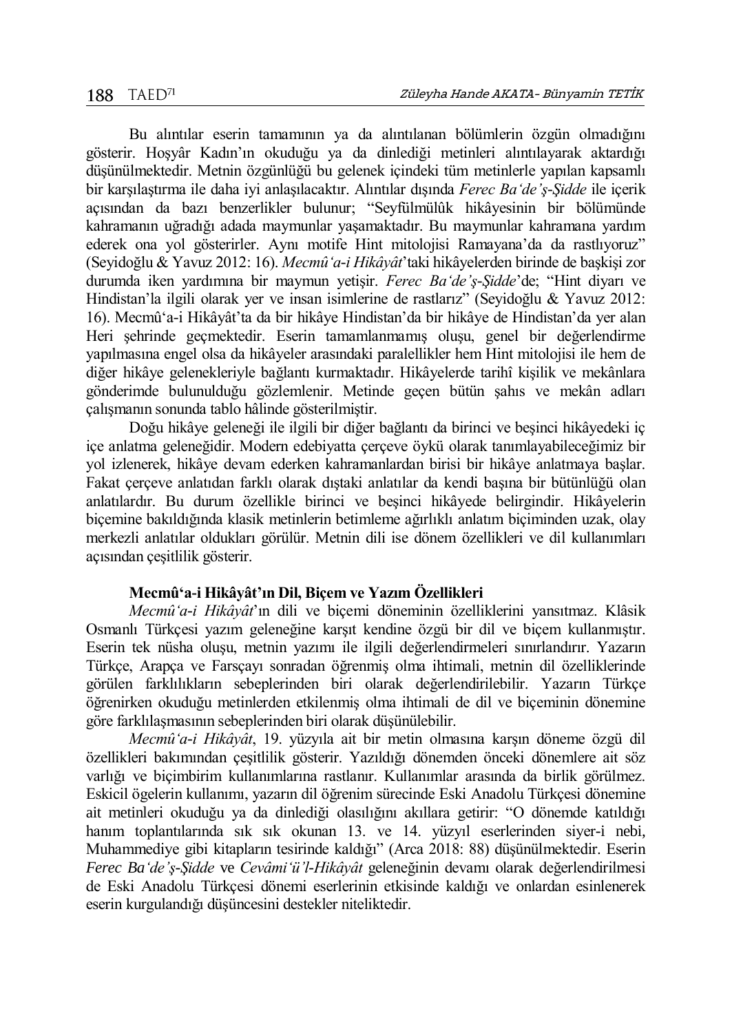Bu alıntılar eserin tamamının ya da alıntılanan bölümlerin özgün olmadığını gösterir. Hoşyâr Kadın'ın okuduğu ya da dinlediği metinleri alıntılayarak aktardığı düşünülmektedir. Metnin özgünlüğü bu gelenek içindeki tüm metinlerle yapılan kapsamlı bir karşılaştırma ile daha iyi anlaşılacaktır. Alıntılar dışında *Ferec Ba'de'ş-Şidde* ile içerik açısından da bazı benzerlikler bulunur; "Seyfülmülûk hikâyesinin bir bölümünde kahramanın uğradığı adada maymunlar yaşamaktadır. Bu maymunlar kahramana yardım ederek ona yol gösterirler. Aynı motife Hint mitolojisi Ramayana'da da rastlıyoruz" (Seyidoğlu & Yavuz 2012: 16). *Mecmû'a-i Hikâyât*'taki hikâyelerden birinde de başkişi zor durumda iken yardımına bir maymun yetişir. *Ferec Ba'de'ş-Şidde*'de; "Hint diyarı ve Hindistan'la ilgili olarak yer ve insan isimlerine de rastlarız" (Seyidoğlu & Yavuz 2012: 16). Mecmû'a-i Hikâyât'ta da bir hikâye Hindistan'da bir hikâye de Hindistan'da yer alan Heri şehrinde geçmektedir. Eserin tamamlanmamış oluşu, genel bir değerlendirme yapılmasına engel olsa da hikâyeler arasındaki paralellikler hem Hint mitolojisi ile hem de diğer hikâye gelenekleriyle bağlantı kurmaktadır. Hikâyelerde tarihî kişilik ve mekânlara gönderimde bulunulduğu gözlemlenir. Metinde geçen bütün şahıs ve mekân adları çalışmanın sonunda tablo hâlinde gösterilmiştir.

Doğu hikâye geleneği ile ilgili bir diğer bağlantı da birinci ve beşinci hikâyedeki iç içe anlatma geleneğidir. Modern edebiyatta çerçeve öykü olarak tanımlayabileceğimiz bir yol izlenerek, hikâye devam ederken kahramanlardan birisi bir hikâye anlatmaya başlar. Fakat çerçeve anlatıdan farklı olarak dıştaki anlatılar da kendi başına bir bütünlüğü olan anlatılardır. Bu durum özellikle birinci ve beşinci hikâyede belirgindir. Hikâyelerin biçemine bakıldığında klasik metinlerin betimleme ağırlıklı anlatım biçiminden uzak, olay merkezli anlatılar oldukları görülür. Metnin dili ise dönem özellikleri ve dil kullanımları açısından çeşitlilik gösterir.

## **Mecmû'a-i Hikâyât'ın Dil, Biçem ve Yazım Özellikleri**

*Mecmû'a-i Hikâyât*'ın dili ve biçemi döneminin özelliklerini yansıtmaz. Klâsik Osmanlı Türkçesi yazım geleneğine karşıt kendine özgü bir dil ve biçem kullanmıştır. Eserin tek nüsha oluşu, metnin yazımı ile ilgili değerlendirmeleri sınırlandırır. Yazarın Türkçe, Arapça ve Farsçayı sonradan öğrenmiş olma ihtimali, metnin dil özelliklerinde görülen farklılıkların sebeplerinden biri olarak değerlendirilebilir. Yazarın Türkçe öğrenirken okuduğu metinlerden etkilenmiş olma ihtimali de dil ve biçeminin dönemine göre farklılaşmasının sebeplerinden biri olarak düşünülebilir.

*Mecmû'a-i Hikâyât*, 19. yüzyıla ait bir metin olmasına karşın döneme özgü dil özellikleri bakımından çeşitlilik gösterir. Yazıldığı dönemden önceki dönemlere ait söz varlığı ve biçimbirim kullanımlarına rastlanır. Kullanımlar arasında da birlik görülmez. Eskicil ögelerin kullanımı, yazarın dil öğrenim sürecinde Eski Anadolu Türkçesi dönemine ait metinleri okuduğu ya da dinlediği olasılığını akıllara getirir: "O dönemde katıldığı hanım toplantılarında sık sık okunan 13. ve 14. yüzyıl eserlerinden siyer-i nebi, Muhammediye gibi kitapların tesirinde kaldığı" (Arca 2018: 88) düşünülmektedir. Eserin *Ferec Ba'de'ş-Şidde* ve *Cevâmi'ü'l-Hikâyât* geleneğinin devamı olarak değerlendirilmesi de Eski Anadolu Türkçesi dönemi eserlerinin etkisinde kaldığı ve onlardan esinlenerek eserin kurgulandığı düşüncesini destekler niteliktedir.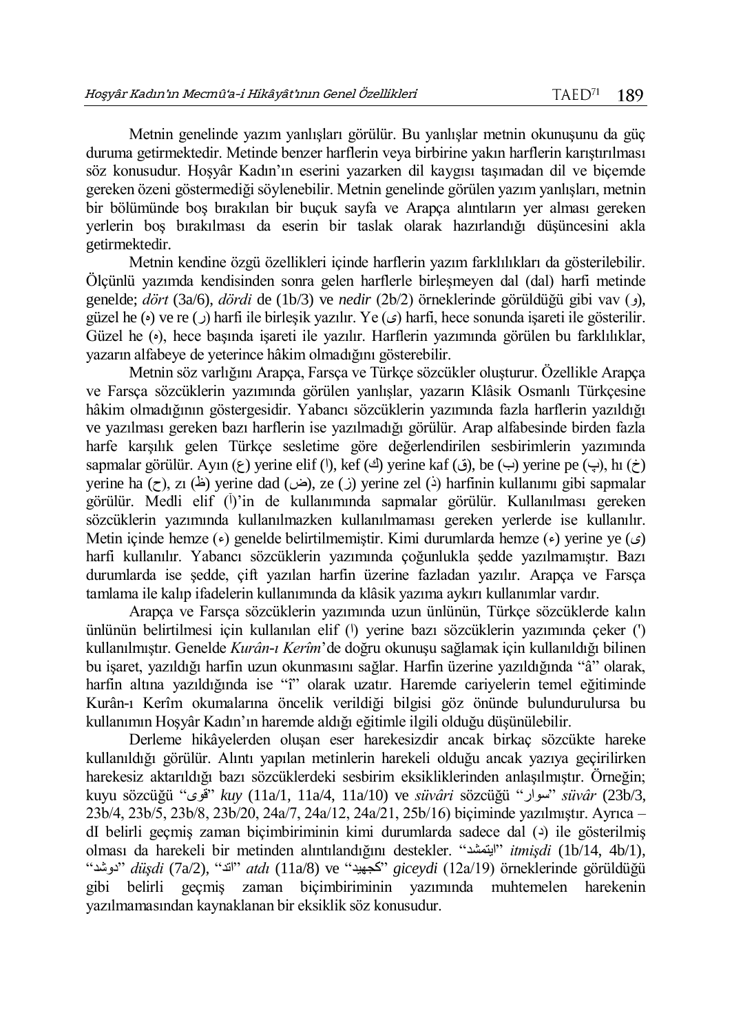Metnin genelinde yazım yanlışları görülür. Bu yanlışlar metnin okunuşunu da güç duruma getirmektedir. Metinde benzer harflerin veya birbirine yakın harflerin karıştırılması söz konusudur. Hoşyâr Kadın'ın eserini yazarken dil kaygısı taşımadan dil ve biçemde gereken özeni göstermediği söylenebilir. Metnin genelinde görülen yazım yanlışları, metnin bir bölümünde boş bırakılan bir buçuk sayfa ve Arapça alıntıların yer alması gereken yerlerin boş bırakılması da eserin bir taslak olarak hazırlandığı düşüncesini akla getirmektedir.

Metnin kendine özgü özellikleri içinde harflerin yazım farklılıkları da gösterilebilir. Ölçünlü yazımda kendisinden sonra gelen harflerle birleşmeyen dal (dal) harfi metinde genelde; *dört* (3a/6), *dördi* de (1b/3) ve *nedir* (2b/2) örneklerinde görüldüğü gibi vav (و(, güzel he  $(\circ)$  ve re ( $\circ$ ) harfi ile birleşik yazılır. Ye  $(\circ)$  harfi, hece sonunda işareti ile gösterilir. Güzel he  $(\cdot)$ , hece basında isareti ile yazılır. Harflerin yazımında görülen bu farklılıklar, yazarın alfabeye de yeterince hâkim olmadığını gösterebilir.

Metnin söz varlığını Arapça, Farsça ve Türkçe sözcükler oluşturur. Özellikle Arapça ve Farsça sözcüklerin yazımında görülen yanlışlar, yazarın Klâsik Osmanlı Türkçesine hâkim olmadığının göstergesidir. Yabancı sözcüklerin yazımında fazla harflerin yazıldığı ve yazılması gereken bazı harflerin ise yazılmadığı görülür. Arap alfabesinde birden fazla harfe karşılık gelen Türkçe sesletime göre değerlendirilen sesbirimlerin yazımında sapmalar görülür. Ayın ( $\epsilon$ ) yerine elif ( $\ell$ ), kef ( $\leq$ ) yerine kaf (ق), be (ب) yerine pe (پ), hı (خ) yerine ha  $(\tau)$ , zı ( $(\Delta)$ ) yerine dad ((i) yerine zel (i) harfinin kullanımı gibi sapmalar görülür. Medli elif (İ)'in de kullanımında sapmalar görülür. Kullanılması gereken sözcüklerin yazımında kullanılmazken kullanılmaması gereken yerlerde ise kullanılır. Metin içinde hemze  $(\epsilon)$  genelde belirtilmemiştir. Kimi durumlarda hemze  $(\epsilon)$  verine ye  $(\epsilon)$ harfi kullanılır. Yabancı sözcüklerin yazımında çoğunlukla şedde yazılmamıştır. Bazı durumlarda ise şedde, çift yazılan harfin üzerine fazladan yazılır. Arapça ve Farsça tamlama ile kalıp ifadelerin kullanımında da klâsik yazıma aykırı kullanımlar vardır.

Arapça ve Farsça sözcüklerin yazımında uzun ünlünün, Türkçe sözcüklerde kalın ünlünün belirtilmesi için kullanılan elif (<sup>1</sup>) yerine bazı sözcüklerin yazımında çeker (<sup>1</sup>) kullanılmıştır. Genelde *Kurân-ı Kerîm*'de doğru okunuşu sağlamak için kullanıldığı bilinen bu işaret, yazıldığı harfin uzun okunmasını sağlar. Harfin üzerine yazıldığında "â" olarak, harfin altına yazıldığında ise "î" olarak uzatır. Haremde cariyelerin temel eğitiminde Kurân-ı Kerîm okumalarına öncelik verildiği bilgisi göz önünde bulundurulursa bu kullanımın Hoşyâr Kadın'ın haremde aldığı eğitimle ilgili olduğu düşünülebilir.

Derleme hikâyelerden oluşan eser harekesizdir ancak birkaç sözcükte hareke kullanıldığı görülür. Alıntı yapılan metinlerin harekeli olduğu ancak yazıya geçirilirken harekesiz aktarıldığı bazı sözcüklerdeki sesbirim eksikliklerinden anlaşılmıştır. Örneğin; kuyu sözcüğü "قوى "*kuy* (11a/1, 11a/4, 11a/10) ve *süvâri* sözcüğü "سوار "*süvâr* (23b/3, 23b/4, 23b/5, 23b/8, 23b/20, 24a/7, 24a/12, 24a/21, 25b/16) biçiminde yazılmıştır. Ayrıca – dI belirli geçmiş zaman biçimbiriminin kimi durumlarda sadece dal  $(3)$  ile gösterilmiş olması da harekeli bir metinden alıntılandığını destekler. "ايتمشد "*itmişdi* (1b/14, 4b/1), "دوشد "*düşdi* (7a/2), "اتد "*atdı* (11a/8) ve "كجهيد "*giceydi* (12a/19) örneklerinde görüldüğü gibi belirli geçmiş zaman biçimbiriminin yazımında muhtemelen harekenin yazılmamasından kaynaklanan bir eksiklik söz konusudur.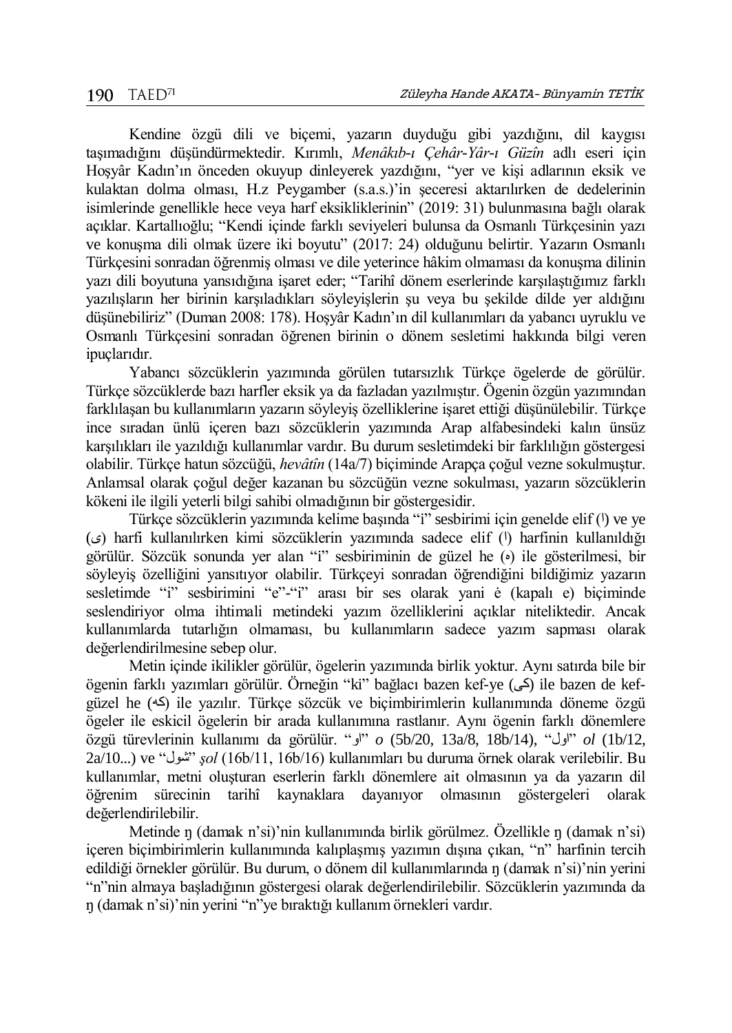Kendine özgü dili ve biçemi, yazarın duyduğu gibi yazdığını, dil kaygısı taşımadığını düşündürmektedir. Kırımlı, *Menâkıb-ı Çehâr-Yâr-ı Güzîn* adlı eseri için Hoşyâr Kadın'ın önceden okuyup dinleyerek yazdığını, "yer ve kişi adlarının eksik ve kulaktan dolma olması, H.z Peygamber (s.a.s.)'in şeceresi aktarılırken de dedelerinin isimlerinde genellikle hece veya harf eksikliklerinin" (2019: 31) bulunmasına bağlı olarak açıklar. Kartallıoğlu; "Kendi içinde farklı seviyeleri bulunsa da Osmanlı Türkçesinin yazı ve konuşma dili olmak üzere iki boyutu" (2017: 24) olduğunu belirtir. Yazarın Osmanlı Türkçesini sonradan öğrenmiş olması ve dile yeterince hâkim olmaması da konuşma dilinin yazı dili boyutuna yansıdığına işaret eder; "Tarihî dönem eserlerinde karşılaştığımız farklı yazılışların her birinin karşıladıkları söyleyişlerin şu veya bu şekilde dilde yer aldığını düşünebiliriz" (Duman 2008: 178). Hoşyâr Kadın'ın dil kullanımları da yabancı uyruklu ve Osmanlı Türkçesini sonradan öğrenen birinin o dönem sesletimi hakkında bilgi veren ipuçlarıdır.

Yabancı sözcüklerin yazımında görülen tutarsızlık Türkçe ögelerde de görülür. Türkçe sözcüklerde bazı harfler eksik ya da fazladan yazılmıştır. Ögenin özgün yazımından farklılaşan bu kullanımların yazarın söyleyiş özelliklerine işaret ettiği düşünülebilir. Türkçe ince sıradan ünlü içeren bazı sözcüklerin yazımında Arap alfabesindeki kalın ünsüz karşılıkları ile yazıldığı kullanımlar vardır. Bu durum sesletimdeki bir farklılığın göstergesi olabilir. Türkçe hatun sözcüğü, *hevâtîn* (14a/7) biçiminde Arapça çoğul vezne sokulmuştur. Anlamsal olarak çoğul değer kazanan bu sözcüğün vezne sokulması, yazarın sözcüklerin kökeni ile ilgili yeterli bilgi sahibi olmadığının bir göstergesidir.

Türkçe sözcüklerin yazımında kelime başında "i" sesbirimi için genelde elif (1) ve ye (ى (harfi kullanılırken kimi sözcüklerin yazımında sadece elif (ا (harfinin kullanıldığı görülür. Sözcük sonunda yer alan "i" sesbiriminin de güzel he (•) ile gösterilmesi, bir söyleyiş özelliğini yansıtıyor olabilir. Türkçeyi sonradan öğrendiğini bildiğimiz yazarın sesletimde "i" sesbirimini "e"-"i" arası bir ses olarak yani ė (kapalı e) biçiminde seslendiriyor olma ihtimali metindeki yazım özelliklerini açıklar niteliktedir. Ancak kullanımlarda tutarlığın olmaması, bu kullanımların sadece yazım sapması olarak değerlendirilmesine sebep olur.

Metin içinde ikilikler görülür, ögelerin yazımında birlik yoktur. Aynı satırda bile bir ögenin farklı yazımları görülür. Örneğin "ki" bağlacı bazen kef-ye (كى (ile bazen de kefgüzel he (كه (ile yazılır. Türkçe sözcük ve biçimbirimlerin kullanımında döneme özgü ögeler ile eskicil ögelerin bir arada kullanımına rastlanır. Aynı ögenin farklı dönemlere özgü türevlerinin kullanımı da görülür. "او "*o* (5b/20, 13a/8, 18b/14), "اول "*ol* (1b/12, 2a/10...) ve "شول "*şol* (16b/11, 16b/16) kullanımları bu duruma örnek olarak verilebilir. Bu kullanımlar, metni oluşturan eserlerin farklı dönemlere ait olmasının ya da yazarın dil öğrenim sürecinin tarihî kaynaklara dayanıyor olmasının göstergeleri olarak değerlendirilebilir.

Metinde ŋ (damak n'si)'nin kullanımında birlik görülmez. Özellikle ŋ (damak n'si) içeren biçimbirimlerin kullanımında kalıplaşmış yazımın dışına çıkan, "n" harfinin tercih edildiği örnekler görülür. Bu durum, o dönem dil kullanımlarında ŋ (damak n'si)'nin yerini "n"nin almaya başladığının göstergesi olarak değerlendirilebilir. Sözcüklerin yazımında da ŋ (damak n'si)'nin yerini "n"ye bıraktığı kullanım örnekleri vardır.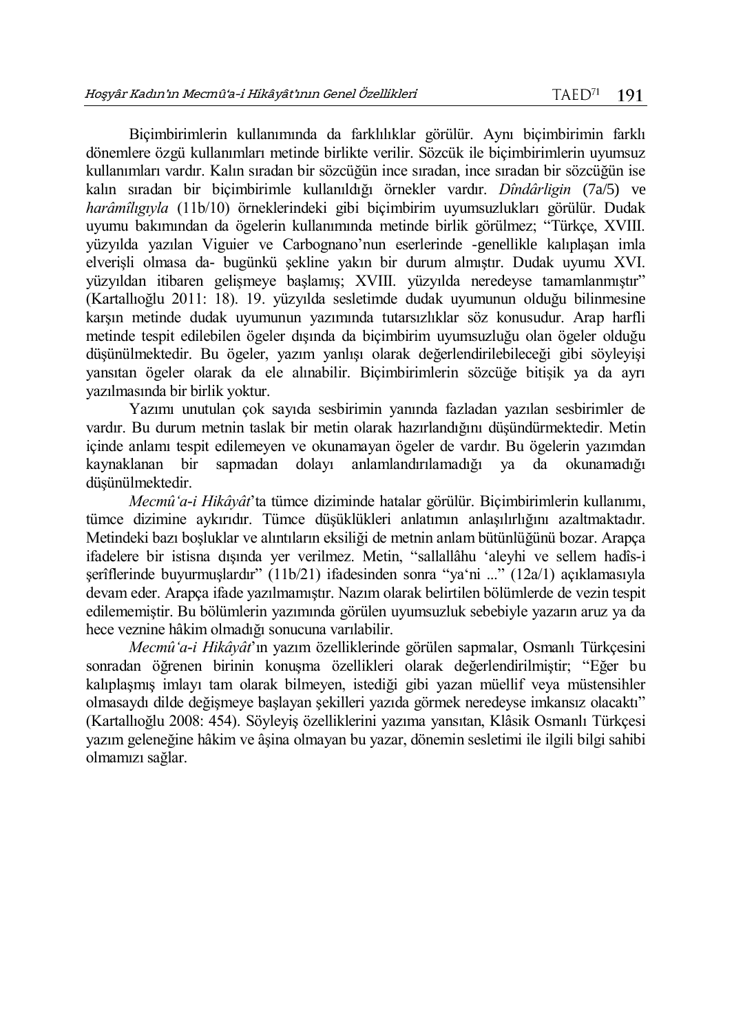Biçimbirimlerin kullanımında da farklılıklar görülür. Aynı biçimbirimin farklı dönemlere özgü kullanımları metinde birlikte verilir. Sözcük ile biçimbirimlerin uyumsuz kullanımları vardır. Kalın sıradan bir sözcüğün ince sıradan, ince sıradan bir sözcüğün ise kalın sıradan bir biçimbirimle kullanıldığı örnekler vardır. *Dîndârligin* (7a/5) ve *harâmîlıgıyla* (11b/10) örneklerindeki gibi biçimbirim uyumsuzlukları görülür. Dudak uyumu bakımından da ögelerin kullanımında metinde birlik görülmez; "Türkçe, XVIII. yüzyılda yazılan Viguier ve Carbognano'nun eserlerinde -genellikle kalıplaşan imla elverişli olmasa da- bugünkü şekline yakın bir durum almıştır. Dudak uyumu XVI. yüzyıldan itibaren gelişmeye başlamış; XVIII. yüzyılda neredeyse tamamlanmıştır" (Kartallıoğlu 2011: 18). 19. yüzyılda sesletimde dudak uyumunun olduğu bilinmesine karşın metinde dudak uyumunun yazımında tutarsızlıklar söz konusudur. Arap harfli metinde tespit edilebilen ögeler dışında da biçimbirim uyumsuzluğu olan ögeler olduğu düşünülmektedir. Bu ögeler, yazım yanlışı olarak değerlendirilebileceği gibi söyleyişi yansıtan ögeler olarak da ele alınabilir. Biçimbirimlerin sözcüğe bitişik ya da ayrı yazılmasında bir birlik yoktur.

Yazımı unutulan çok sayıda sesbirimin yanında fazladan yazılan sesbirimler de vardır. Bu durum metnin taslak bir metin olarak hazırlandığını düşündürmektedir. Metin içinde anlamı tespit edilemeyen ve okunamayan ögeler de vardır. Bu ögelerin yazımdan kaynaklanan bir sapmadan dolayı anlamlandırılamadığı ya da okunamadığı düşünülmektedir.

*Mecmû'a-i Hikâyât*'ta tümce diziminde hatalar görülür. Biçimbirimlerin kullanımı, tümce dizimine aykırıdır. Tümce düşüklükleri anlatımın anlaşılırlığını azaltmaktadır. Metindeki bazı boşluklar ve alıntıların eksiliği de metnin anlam bütünlüğünü bozar. Arapça ifadelere bir istisna dışında yer verilmez. Metin, "sallallâhu 'aleyhi ve sellem hadîs-i şerîflerinde buyurmuşlardır" (11b/21) ifadesinden sonra "ya'ni ..." (12a/1) açıklamasıyla devam eder. Arapça ifade yazılmamıştır. Nazım olarak belirtilen bölümlerde de vezin tespit edilememiştir. Bu bölümlerin yazımında görülen uyumsuzluk sebebiyle yazarın aruz ya da hece veznine hâkim olmadığı sonucuna varılabilir.

*Mecmû'a-i Hikâyât*'ın yazım özelliklerinde görülen sapmalar, Osmanlı Türkçesini sonradan öğrenen birinin konuşma özellikleri olarak değerlendirilmiştir; "Eğer bu kalıplaşmış imlayı tam olarak bilmeyen, istediği gibi yazan müellif veya müstensihler olmasaydı dilde değişmeye başlayan şekilleri yazıda görmek neredeyse imkansız olacaktı" (Kartallıoğlu 2008: 454). Söyleyiş özelliklerini yazıma yansıtan, Klâsik Osmanlı Türkçesi yazım geleneğine hâkim ve âşina olmayan bu yazar, dönemin sesletimi ile ilgili bilgi sahibi olmamızı sağlar.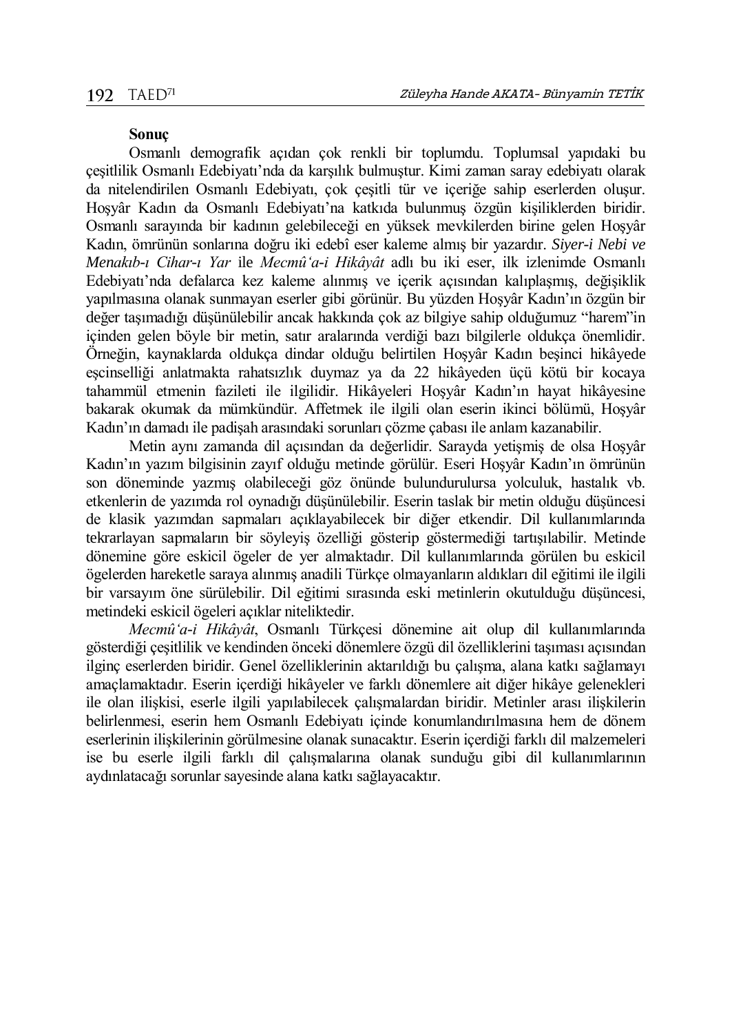## **Sonuç**

Osmanlı demografik açıdan çok renkli bir toplumdu. Toplumsal yapıdaki bu çeşitlilik Osmanlı Edebiyatı'nda da karşılık bulmuştur. Kimi zaman saray edebiyatı olarak da nitelendirilen Osmanlı Edebiyatı, çok çeşitli tür ve içeriğe sahip eserlerden oluşur. Hoşyâr Kadın da Osmanlı Edebiyatı'na katkıda bulunmuş özgün kişiliklerden biridir. Osmanlı sarayında bir kadının gelebileceği en yüksek mevkilerden birine gelen Hoşyâr Kadın, ömrünün sonlarına doğru iki edebî eser kaleme almış bir yazardır. *Siyer-i Nebi ve Menakıb-ı Cihar-ı Yar* ile *Mecmû'a-i Hikâyât* adlı bu iki eser, ilk izlenimde Osmanlı Edebiyatı'nda defalarca kez kaleme alınmış ve içerik açısından kalıplaşmış, değişiklik yapılmasına olanak sunmayan eserler gibi görünür. Bu yüzden Hoşyâr Kadın'ın özgün bir değer taşımadığı düşünülebilir ancak hakkında çok az bilgiye sahip olduğumuz "harem"in içinden gelen böyle bir metin, satır aralarında verdiği bazı bilgilerle oldukça önemlidir. Örneğin, kaynaklarda oldukça dindar olduğu belirtilen Hoşyâr Kadın beşinci hikâyede eşcinselliği anlatmakta rahatsızlık duymaz ya da 22 hikâyeden üçü kötü bir kocaya tahammül etmenin fazileti ile ilgilidir. Hikâyeleri Hoşyâr Kadın'ın hayat hikâyesine bakarak okumak da mümkündür. Affetmek ile ilgili olan eserin ikinci bölümü, Hoşyâr Kadın'ın damadı ile padişah arasındaki sorunları çözme çabası ile anlam kazanabilir.

Metin aynı zamanda dil açısından da değerlidir. Sarayda yetişmiş de olsa Hoşyâr Kadın'ın yazım bilgisinin zayıf olduğu metinde görülür. Eseri Hoşyâr Kadın'ın ömrünün son döneminde yazmış olabileceği göz önünde bulundurulursa yolculuk, hastalık vb. etkenlerin de yazımda rol oynadığı düşünülebilir. Eserin taslak bir metin olduğu düşüncesi de klasik yazımdan sapmaları açıklayabilecek bir diğer etkendir. Dil kullanımlarında tekrarlayan sapmaların bir söyleyiş özelliği gösterip göstermediği tartışılabilir. Metinde dönemine göre eskicil ögeler de yer almaktadır. Dil kullanımlarında görülen bu eskicil ögelerden hareketle saraya alınmış anadili Türkçe olmayanların aldıkları dil eğitimi ile ilgili bir varsayım öne sürülebilir. Dil eğitimi sırasında eski metinlerin okutulduğu düşüncesi, metindeki eskicil ögeleri açıklar niteliktedir.

*Mecmû'a-i Hikâyât*, Osmanlı Türkçesi dönemine ait olup dil kullanımlarında gösterdiği çeşitlilik ve kendinden önceki dönemlere özgü dil özelliklerini taşıması açısından ilginç eserlerden biridir. Genel özelliklerinin aktarıldığı bu çalışma, alana katkı sağlamayı amaçlamaktadır. Eserin içerdiği hikâyeler ve farklı dönemlere ait diğer hikâye gelenekleri ile olan ilişkisi, eserle ilgili yapılabilecek çalışmalardan biridir. Metinler arası ilişkilerin belirlenmesi, eserin hem Osmanlı Edebiyatı içinde konumlandırılmasına hem de dönem eserlerinin ilişkilerinin görülmesine olanak sunacaktır. Eserin içerdiği farklı dil malzemeleri ise bu eserle ilgili farklı dil çalışmalarına olanak sunduğu gibi dil kullanımlarının aydınlatacağı sorunlar sayesinde alana katkı sağlayacaktır.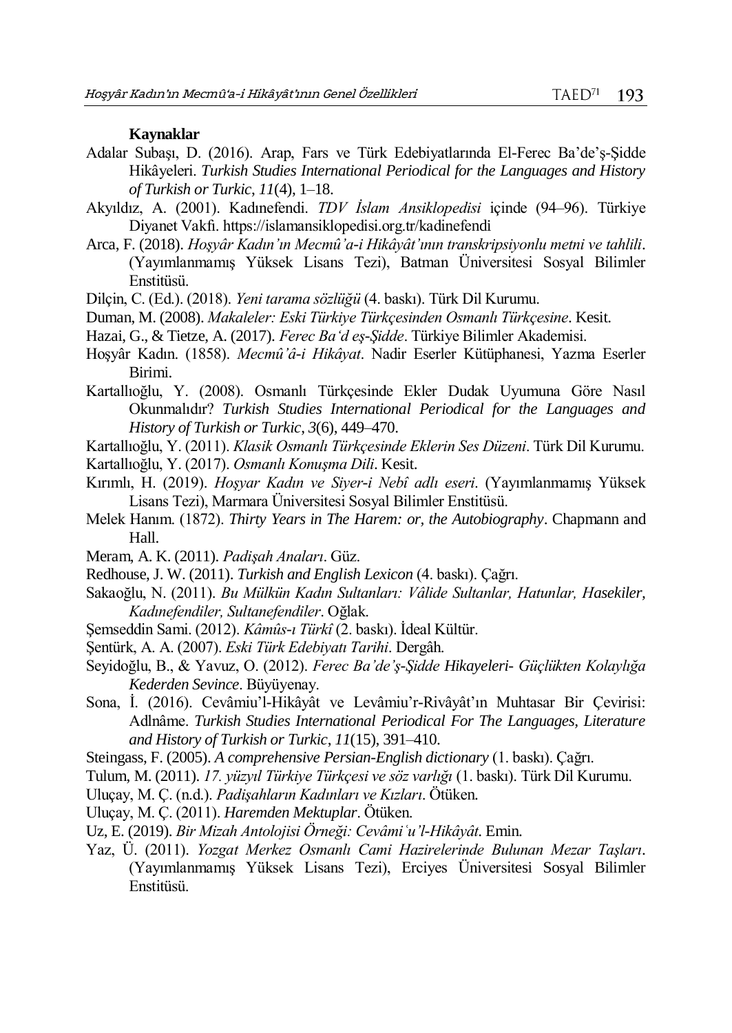## **Kaynaklar**

- Adalar Subaşı, D. (2016). Arap, Fars ve Türk Edebiyatlarında El-Ferec Ba'de'ş-Şidde Hikâyeleri. *Turkish Studies International Periodical for the Languages and History of Turkish or Turkic*, *11*(4), 1–18.
- Akyıldız, A. (2001). Kadınefendi. *TDV İslam Ansiklopedisi* içinde (94–96). Türkiye Diyanet Vakfı. https://islamansiklopedisi.org.tr/kadinefendi
- Arca, F. (2018). *Hoşyâr Kadın'ın Mecmû'a-i Hikâyât'ının transkripsiyonlu metni ve tahlili*. (Yayımlanmamış Yüksek Lisans Tezi), Batman Üniversitesi Sosyal Bilimler Enstitüsü.
- Dilçin, C. (Ed.). (2018). *Yeni tarama sözlüğü* (4. baskı). Türk Dil Kurumu.
- Duman, M. (2008). *Makaleler: Eski Türkiye Türkçesinden Osmanlı Türkçesine*. Kesit.
- Hazai, G., & Tietze, A. (2017). *Ferec Ba'd eş-Şidde*. Türkiye Bilimler Akademisi.
- Hoşyâr Kadın. (1858). *Mecmû'â-i Hikâyat*. Nadir Eserler Kütüphanesi, Yazma Eserler Birimi.
- Kartallıoğlu, Y. (2008). Osmanlı Türkçesinde Ekler Dudak Uyumuna Göre Nasıl Okunmalıdır? *Turkish Studies International Periodical for the Languages and History of Turkish or Turkic*, *3*(6), 449–470.

Kartallıoğlu, Y. (2011). *Klasik Osmanlı Türkçesinde Eklerin Ses Düzeni*. Türk Dil Kurumu.

- Kartallıoğlu, Y. (2017). *Osmanlı Konuşma Dili*. Kesit.
- Kırımlı, H. (2019). *Hoşyar Kadın ve Siyer-i Nebî adlı eseri*. (Yayımlanmamış Yüksek Lisans Tezi), Marmara Üniversitesi Sosyal Bilimler Enstitüsü.
- Melek Hanım. (1872). *Thirty Years in The Harem: or, the Autobiography*. Chapmann and Hall.
- Meram, A. K. (2011). *Padişah Anaları*. Güz.
- Redhouse, J. W. (2011). *Turkish and English Lexicon* (4. baskı). Çağrı.
- Sakaoğlu, N. (2011). *Bu Mülkün Kadın Sultanları: Vâlide Sultanlar, Hatunlar, Hasekiler, Kadınefendiler, Sultanefendiler*. Oğlak.
- Şemseddin Sami. (2012). *Kâmûs-ı Türkî* (2. baskı). İdeal Kültür.
- Şentürk, A. A. (2007). *Eski Türk Edebiyatı Tarihi*. Dergâh.
- Seyidoğlu, B., & Yavuz, O. (2012). *Ferec Ba'de'ş-Şidde Hikayeleri- Güçlükten Kolaylığa Kederden Sevince*. Büyüyenay.
- Sona, İ. (2016). Cevâmiu'l-Hikâyât ve Levâmiu'r-Rivâyât'ın Muhtasar Bir Çevirisi: Adlnâme. *Turkish Studies International Periodical For The Languages, Literature and History of Turkish or Turkic*, *11*(15), 391–410.
- Steingass, F. (2005). *A comprehensive Persian-English dictionary* (1. baskı). Çağrı.
- Tulum, M. (2011). *17. yüzyıl Türkiye Türkçesi ve söz varlığı* (1. baskı). Türk Dil Kurumu.
- Uluçay, M. Ç. (n.d.). *Padişahların Kadınları ve Kızları*. Ötüken.
- Uluçay, M. Ç. (2011). *Haremden Mektuplar*. Ötüken.
- Uz, E. (2019). *Bir Mizah Antolojisi Örneği: Cevâmiʿu'l-Hikâyât*. Emin.
- Yaz, Ü. (2011). *Yozgat Merkez Osmanlı Cami Hazirelerinde Bulunan Mezar Taşları*. (Yayımlanmamış Yüksek Lisans Tezi), Erciyes Üniversitesi Sosyal Bilimler Enstitüsü.